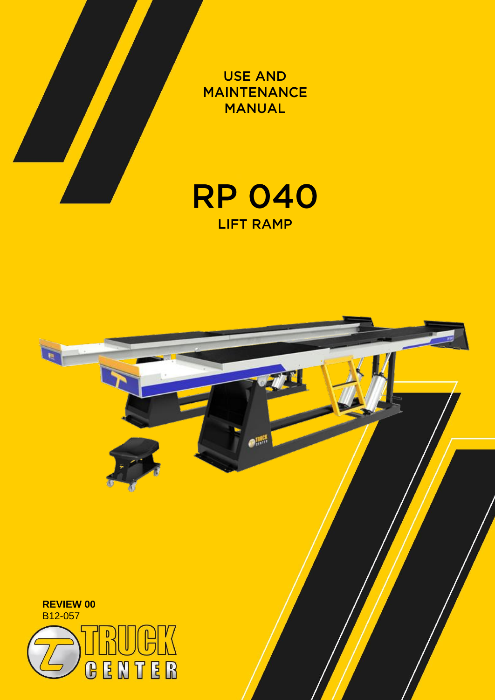

**USE AND MAINTENANCE MANUAL** 



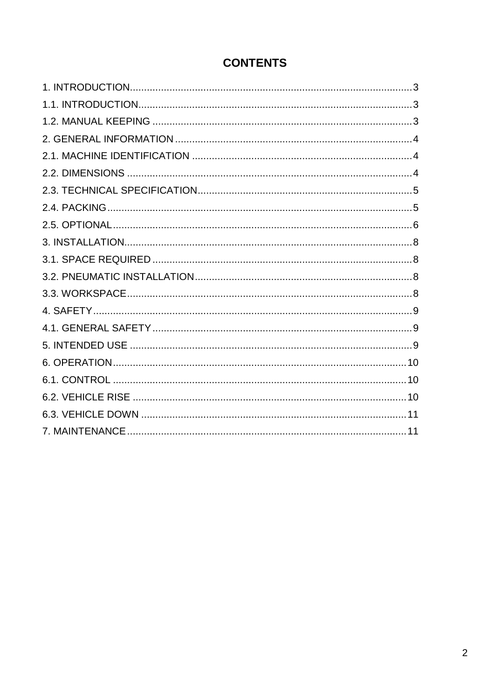# **CONTENTS**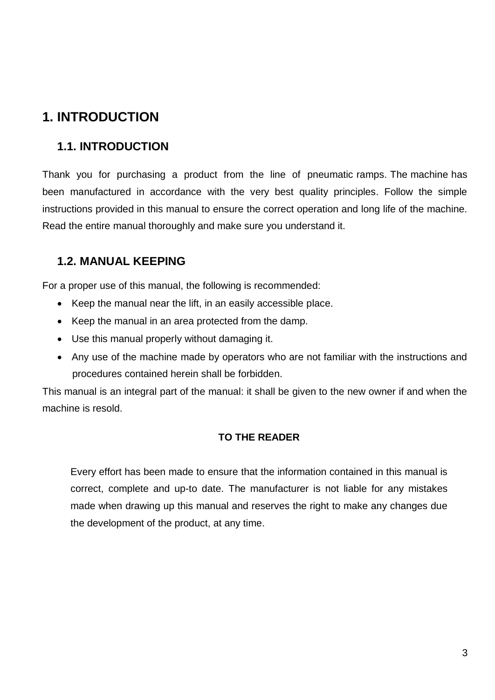# <span id="page-2-0"></span>**1. INTRODUCTION**

### <span id="page-2-1"></span>**1.1. INTRODUCTION**

Thank you for purchasing a product from the line of pneumatic ramps. The machine has been manufactured in accordance with the very best quality principles. Follow the simple instructions provided in this manual to ensure the correct operation and long life of the machine. Read the entire manual thoroughly and make sure you understand it.

### <span id="page-2-2"></span>**1.2. MANUAL KEEPING**

For a proper use of this manual, the following is recommended:

- Keep the manual near the lift, in an easily accessible place.
- Keep the manual in an area protected from the damp.
- Use this manual properly without damaging it.
- Any use of the machine made by operators who are not familiar with the instructions and procedures contained herein shall be forbidden.

This manual is an integral part of the manual: it shall be given to the new owner if and when the machine is resold.

#### **TO THE READER**

Every effort has been made to ensure that the information contained in this manual is correct, complete and up-to date. The manufacturer is not liable for any mistakes made when drawing up this manual and reserves the right to make any changes due the development of the product, at any time.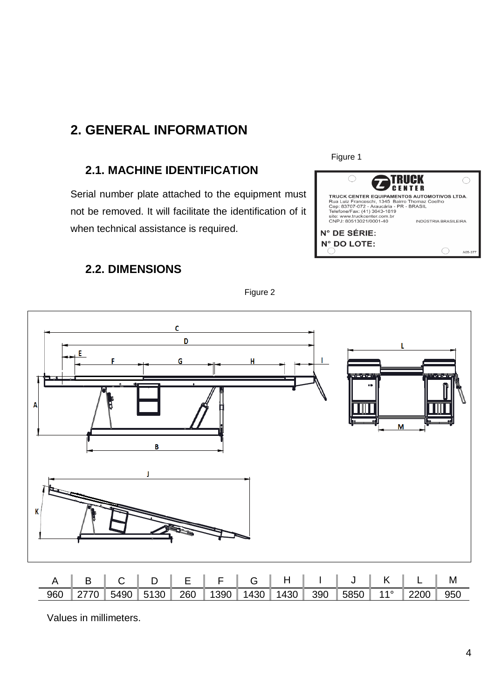## <span id="page-3-0"></span>**2. GENERAL INFORMATION**

### <span id="page-3-1"></span>**2.1. MACHINE IDENTIFICATION**

Serial number plate attached to the equipment must not be removed. It will facilitate the identification of it when technical assistance is required.



Figure 1

### <span id="page-3-2"></span>**2.2. DIMENSIONS**



Figure 2

Values in millimeters.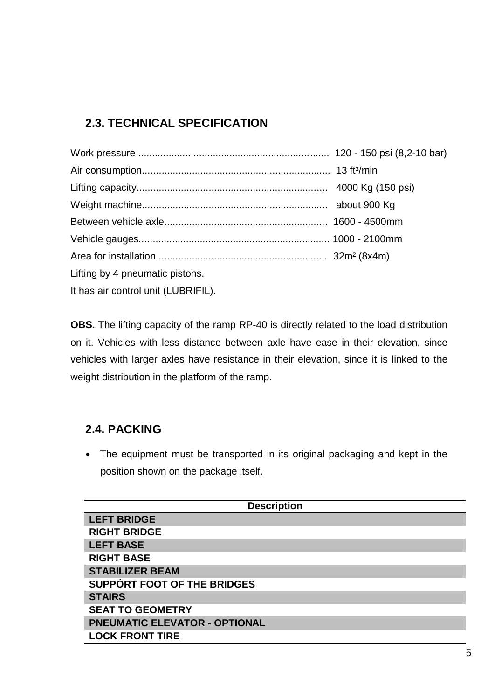### <span id="page-4-0"></span>**2.3. TECHNICAL SPECIFICATION**

| Lifting by 4 pneumatic pistons.     |  |
|-------------------------------------|--|
| It has air control unit (LUBRIFIL). |  |

**OBS.** The lifting capacity of the ramp RP-40 is directly related to the load distribution on it. Vehicles with less distance between axle have ease in their elevation, since vehicles with larger axles have resistance in their elevation, since it is linked to the weight distribution in the platform of the ramp.

### <span id="page-4-1"></span>**2.4. PACKING**

 The equipment must be transported in its original packaging and kept in the position shown on the package itself.

| <b>Description</b>                   |  |  |
|--------------------------------------|--|--|
| <b>LEFT BRIDGE</b>                   |  |  |
| <b>RIGHT BRIDGE</b>                  |  |  |
| <b>LEFT BASE</b>                     |  |  |
| <b>RIGHT BASE</b>                    |  |  |
| <b>STABILIZER BEAM</b>               |  |  |
| SUPPÓRT FOOT OF THE BRIDGES          |  |  |
| <b>STAIRS</b>                        |  |  |
| <b>SEAT TO GEOMETRY</b>              |  |  |
| <b>PNEUMATIC ELEVATOR - OPTIONAL</b> |  |  |
| <b>LOCK FRONT TIRE</b>               |  |  |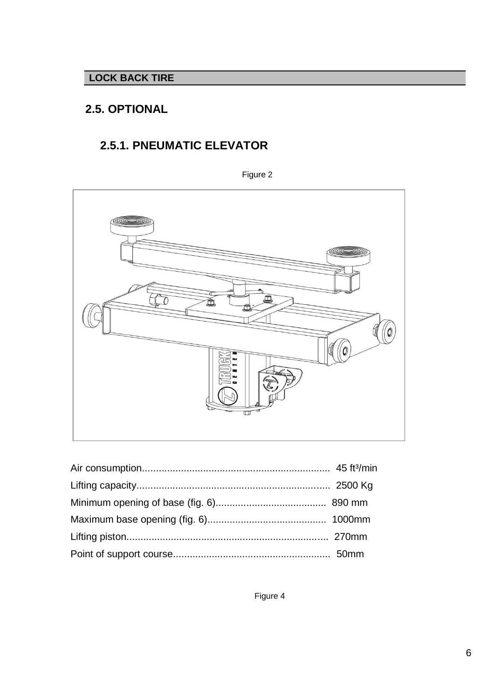#### **LOCK BACK TIRE**

### <span id="page-5-0"></span>**2.5. OPTIONAL**

## **2.5.1. PNEUMATIC ELEVATOR**

Figure 2



Figure 4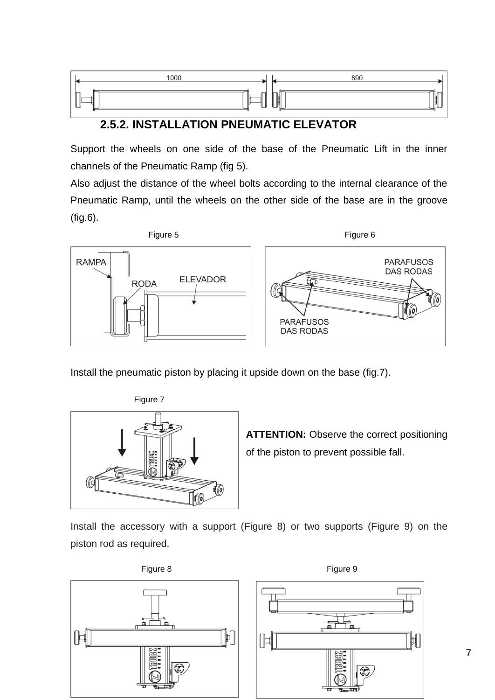

#### **2.5.2. INSTALLATION PNEUMATIC ELEVATOR**

Support the wheels on one side of the base of the Pneumatic Lift in the inner channels of the Pneumatic Ramp (fig 5).

Also adjust the distance of the wheel bolts according to the internal clearance of the Pneumatic Ramp, until the wheels on the other side of the base are in the groove (fig.6).



Install the pneumatic piston by placing it upside down on the base (fig.7).



**ATTENTION:** Observe the correct positioning of the piston to prevent possible fall.

Install the accessory with a support (Figure 8) or two supports (Figure 9) on the piston rod as required.



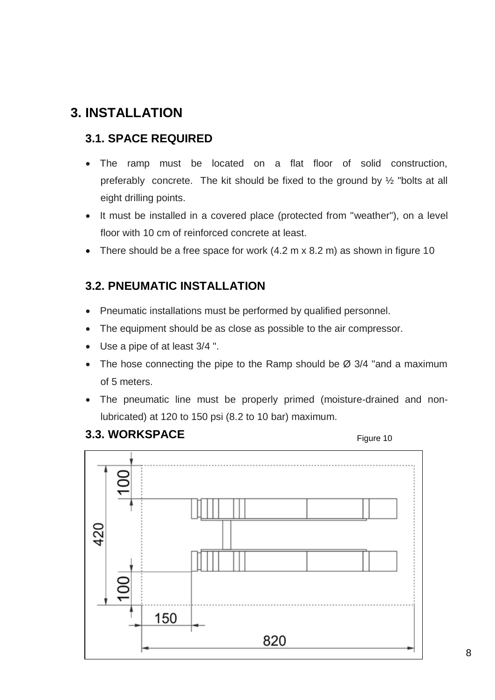## <span id="page-7-0"></span>**3. INSTALLATION**

### <span id="page-7-1"></span>**3.1. SPACE REQUIRED**

- The ramp must be located on a flat floor of solid construction, preferably concrete. The kit should be fixed to the ground by ½ "bolts at all eight drilling points.
- It must be installed in a covered place (protected from "weather"), on a level floor with 10 cm of reinforced concrete at least.
- There should be a free space for work (4.2 m x 8.2 m) as shown in figure 10

### <span id="page-7-2"></span>**3.2. PNEUMATIC INSTALLATION**

- Pneumatic installations must be performed by qualified personnel.
- The equipment should be as close as possible to the air compressor.
- Use a pipe of at least 3/4 ".
- The hose connecting the pipe to the Ramp should be  $\varnothing$  3/4 "and a maximum of 5 meters.
- The pneumatic line must be properly primed (moisture-drained and nonlubricated) at 120 to 150 psi (8.2 to 10 bar) maximum.

#### <span id="page-7-3"></span>**3.3. WORKSPACE**

Figure 10

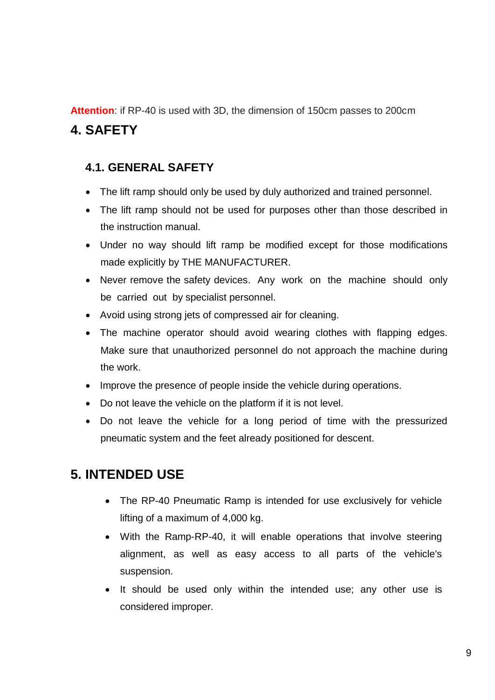**Attention**: if RP-40 is used with 3D, the dimension of 150cm passes to 200cm

## <span id="page-8-0"></span>**4. SAFETY**

### <span id="page-8-1"></span>**4.1. GENERAL SAFETY**

- The lift ramp should only be used by duly authorized and trained personnel.
- The lift ramp should not be used for purposes other than those described in the instruction manual.
- Under no way should lift ramp be modified except for those modifications made explicitly by THE MANUFACTURER.
- Never remove the safety devices. Any work on the machine should only be carried out by specialist personnel.
- Avoid using strong jets of compressed air for cleaning.
- The machine operator should avoid wearing clothes with flapping edges. Make sure that unauthorized personnel do not approach the machine during the work.
- Improve the presence of people inside the vehicle during operations.
- Do not leave the vehicle on the platform if it is not level.
- Do not leave the vehicle for a long period of time with the pressurized pneumatic system and the feet already positioned for descent.

## <span id="page-8-2"></span>**5. INTENDED USE**

- The RP-40 Pneumatic Ramp is intended for use exclusively for vehicle lifting of a maximum of 4,000 kg.
- With the Ramp-RP-40, it will enable operations that involve steering alignment, as well as easy access to all parts of the vehicle's suspension.
- It should be used only within the intended use; any other use is considered improper.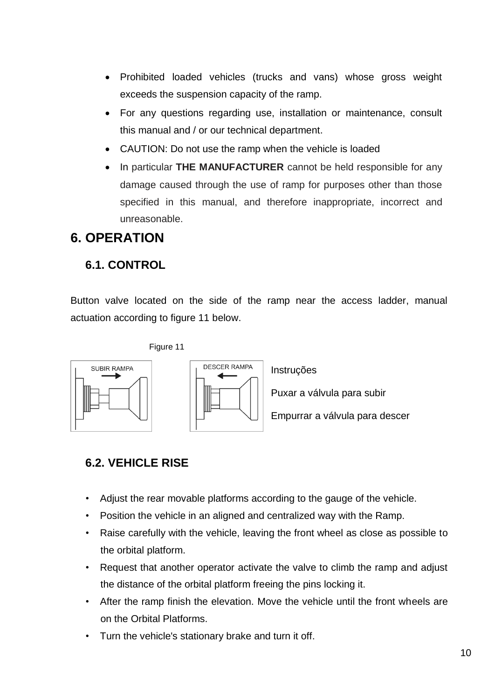- Prohibited loaded vehicles (trucks and vans) whose gross weight exceeds the suspension capacity of the ramp.
- For any questions regarding use, installation or maintenance, consult this manual and / or our technical department.
- CAUTION: Do not use the ramp when the vehicle is loaded
- In particular **THE MANUFACTURER** cannot be held responsible for any damage caused through the use of ramp for purposes other than those specified in this manual, and therefore inappropriate, incorrect and unreasonable.

# <span id="page-9-0"></span>**6. OPERATION**

### <span id="page-9-1"></span>**6.1. CONTROL**

Button valve located on the side of the ramp near the access ladder, manual actuation according to figure 11 below.







Instruções

Puxar a válvula para subir

Empurrar a válvula para descer

### <span id="page-9-2"></span>**6.2. VEHICLE RISE**

- Adjust the rear movable platforms according to the gauge of the vehicle.
- Position the vehicle in an aligned and centralized way with the Ramp.
- Raise carefully with the vehicle, leaving the front wheel as close as possible to the orbital platform.
- Request that another operator activate the valve to climb the ramp and adjust the distance of the orbital platform freeing the pins locking it.
- After the ramp finish the elevation. Move the vehicle until the front wheels are on the Orbital Platforms.
- Turn the vehicle's stationary brake and turn it off.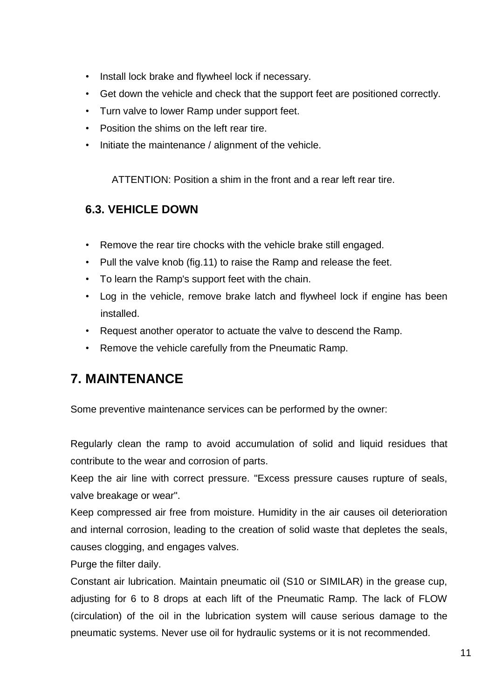- Install lock brake and flywheel lock if necessary.
- Get down the vehicle and check that the support feet are positioned correctly.
- Turn valve to lower Ramp under support feet.
- Position the shims on the left rear tire.
- Initiate the maintenance / alignment of the vehicle.

ATTENTION: Position a shim in the front and a rear left rear tire.

### <span id="page-10-0"></span>**6.3. VEHICLE DOWN**

- Remove the rear tire chocks with the vehicle brake still engaged.
- Pull the valve knob (fig.11) to raise the Ramp and release the feet.
- To learn the Ramp's support feet with the chain.
- Log in the vehicle, remove brake latch and flywheel lock if engine has been installed.
- Request another operator to actuate the valve to descend the Ramp.
- Remove the vehicle carefully from the Pneumatic Ramp.

# <span id="page-10-1"></span>**7. MAINTENANCE**

Some preventive maintenance services can be performed by the owner:

Regularly clean the ramp to avoid accumulation of solid and liquid residues that contribute to the wear and corrosion of parts.

Keep the air line with correct pressure. "Excess pressure causes rupture of seals, valve breakage or wear".

Keep compressed air free from moisture. Humidity in the air causes oil deterioration and internal corrosion, leading to the creation of solid waste that depletes the seals, causes clogging, and engages valves.

Purge the filter daily.

Constant air lubrication. Maintain pneumatic oil (S10 or SIMILAR) in the grease cup, adjusting for 6 to 8 drops at each lift of the Pneumatic Ramp. The lack of FLOW (circulation) of the oil in the lubrication system will cause serious damage to the pneumatic systems. Never use oil for hydraulic systems or it is not recommended.